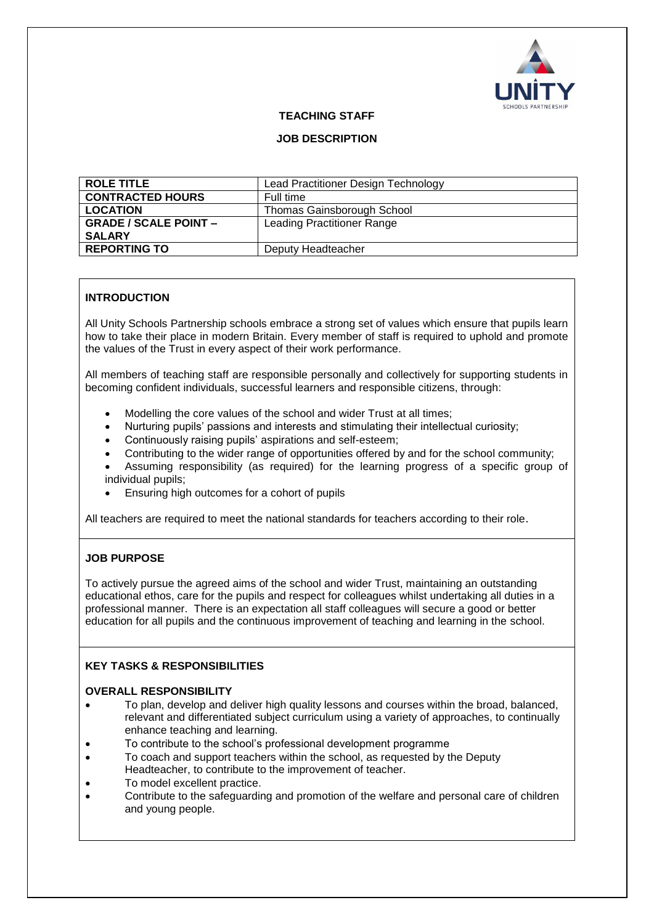

# **TEACHING STAFF**

# **JOB DESCRIPTION**

| <b>ROLE TITLE</b>            | Lead Practitioner Design Technology |
|------------------------------|-------------------------------------|
| <b>CONTRACTED HOURS</b>      | Full time                           |
| <b>LOCATION</b>              | <b>Thomas Gainsborough School</b>   |
| <b>GRADE / SCALE POINT -</b> | Leading Practitioner Range          |
| <b>SALARY</b>                |                                     |
| <b>REPORTING TO</b>          | Deputy Headteacher                  |

# **INTRODUCTION**

All Unity Schools Partnership schools embrace a strong set of values which ensure that pupils learn how to take their place in modern Britain. Every member of staff is required to uphold and promote the values of the Trust in every aspect of their work performance.

All members of teaching staff are responsible personally and collectively for supporting students in becoming confident individuals, successful learners and responsible citizens, through:

- Modelling the core values of the school and wider Trust at all times;
- Nurturing pupils' passions and interests and stimulating their intellectual curiosity;
- Continuously raising pupils' aspirations and self-esteem;
- Contributing to the wider range of opportunities offered by and for the school community;
- Assuming responsibility (as required) for the learning progress of a specific group of individual pupils;
- Ensuring high outcomes for a cohort of pupils

All teachers are required to meet the national standards for teachers according to their role.

# **JOB PURPOSE**

To actively pursue the agreed aims of the school and wider Trust, maintaining an outstanding educational ethos, care for the pupils and respect for colleagues whilst undertaking all duties in a professional manner. There is an expectation all staff colleagues will secure a good or better education for all pupils and the continuous improvement of teaching and learning in the school.

# **KEY TASKS & RESPONSIBILITIES**

# **OVERALL RESPONSIBILITY**

- To plan, develop and deliver high quality lessons and courses within the broad, balanced, relevant and differentiated subject curriculum using a variety of approaches, to continually enhance teaching and learning.
- To contribute to the school's professional development programme
- To coach and support teachers within the school, as requested by the Deputy Headteacher, to contribute to the improvement of teacher.
- To model excellent practice.
- Contribute to the safeguarding and promotion of the welfare and personal care of children and young people.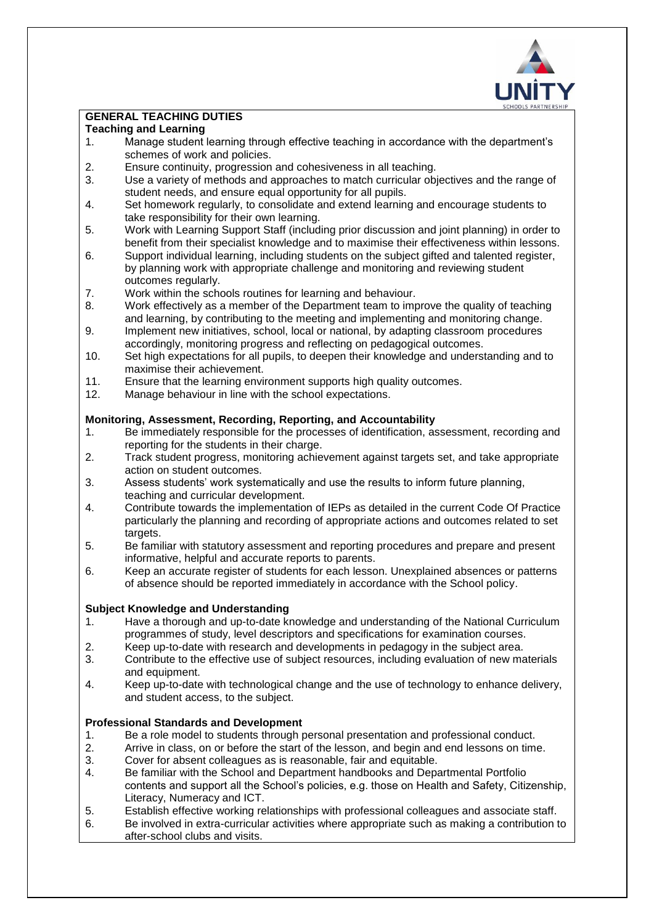

# **GENERAL TEACHING DUTIES**

# **Teaching and Learning**

- 1. Manage student learning through effective teaching in accordance with the department's schemes of work and policies.
- 2. Ensure continuity, progression and cohesiveness in all teaching.
- 3. Use a variety of methods and approaches to match curricular objectives and the range of student needs, and ensure equal opportunity for all pupils.
- 4. Set homework regularly, to consolidate and extend learning and encourage students to take responsibility for their own learning.
- 5. Work with Learning Support Staff (including prior discussion and joint planning) in order to benefit from their specialist knowledge and to maximise their effectiveness within lessons.
- 6. Support individual learning, including students on the subject gifted and talented register, by planning work with appropriate challenge and monitoring and reviewing student outcomes regularly.
- 7. Work within the schools routines for learning and behaviour.
- 8. Work effectively as a member of the Department team to improve the quality of teaching and learning, by contributing to the meeting and implementing and monitoring change.
- 9. Implement new initiatives, school, local or national, by adapting classroom procedures accordingly, monitoring progress and reflecting on pedagogical outcomes.
- 10. Set high expectations for all pupils, to deepen their knowledge and understanding and to maximise their achievement.
- 11. Ensure that the learning environment supports high quality outcomes.
- 12. Manage behaviour in line with the school expectations.

# **Monitoring, Assessment, Recording, Reporting, and Accountability**

- 1. Be immediately responsible for the processes of identification, assessment, recording and reporting for the students in their charge.
- 2. Track student progress, monitoring achievement against targets set, and take appropriate action on student outcomes.
- 3. Assess students' work systematically and use the results to inform future planning, teaching and curricular development.
- 4. Contribute towards the implementation of IEPs as detailed in the current Code Of Practice particularly the planning and recording of appropriate actions and outcomes related to set targets.
- 5. Be familiar with statutory assessment and reporting procedures and prepare and present informative, helpful and accurate reports to parents.
- 6. Keep an accurate register of students for each lesson. Unexplained absences or patterns of absence should be reported immediately in accordance with the School policy.

# **Subject Knowledge and Understanding**

- 1. Have a thorough and up-to-date knowledge and understanding of the National Curriculum programmes of study, level descriptors and specifications for examination courses.
- 2. Keep up-to-date with research and developments in pedagogy in the subject area.
- 3. Contribute to the effective use of subject resources, including evaluation of new materials and equipment.
- 4. Keep up-to-date with technological change and the use of technology to enhance delivery, and student access, to the subject.

# **Professional Standards and Development**

- 1. Be a role model to students through personal presentation and professional conduct.
- 2. Arrive in class, on or before the start of the lesson, and begin and end lessons on time.
- 3. Cover for absent colleagues as is reasonable, fair and equitable.
- 4. Be familiar with the School and Department handbooks and Departmental Portfolio contents and support all the School's policies, e.g. those on Health and Safety, Citizenship, Literacy, Numeracy and ICT.
- 5. Establish effective working relationships with professional colleagues and associate staff.
- 6. Be involved in extra-curricular activities where appropriate such as making a contribution to after-school clubs and visits.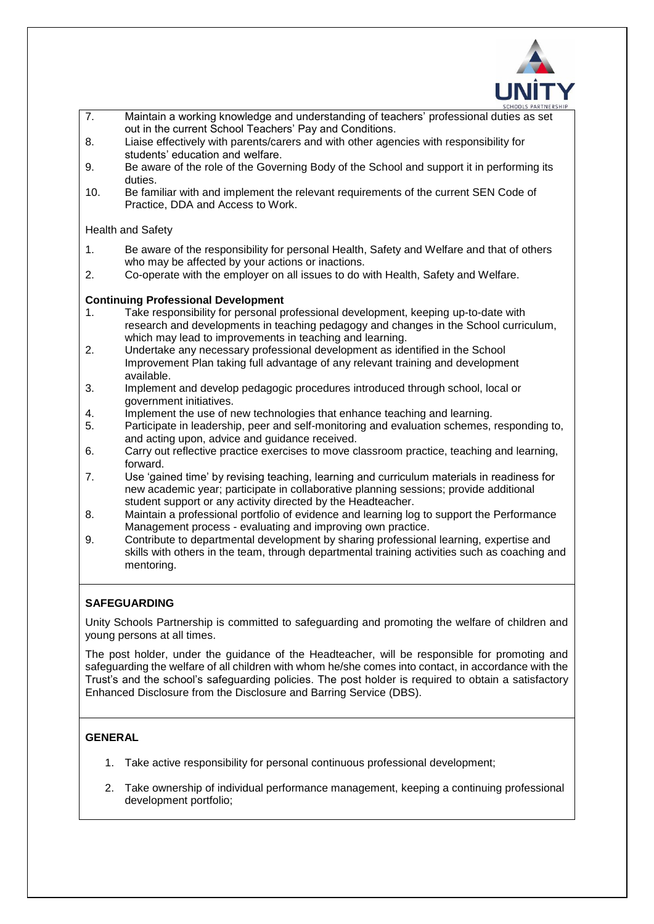

- 7. Maintain a working knowledge and understanding of teachers' professional duties as set out in the current School Teachers' Pay and Conditions.
- 8. Liaise effectively with parents/carers and with other agencies with responsibility for students' education and welfare.
- 9. Be aware of the role of the Governing Body of the School and support it in performing its duties.
- 10. Be familiar with and implement the relevant requirements of the current SEN Code of Practice, DDA and Access to Work.

#### Health and Safety

- 1. Be aware of the responsibility for personal Health, Safety and Welfare and that of others who may be affected by your actions or inactions.
- 2. Co-operate with the employer on all issues to do with Health, Safety and Welfare.

# **Continuing Professional Development**

- 1. Take responsibility for personal professional development, keeping up-to-date with research and developments in teaching pedagogy and changes in the School curriculum, which may lead to improvements in teaching and learning.
- 2. Undertake any necessary professional development as identified in the School Improvement Plan taking full advantage of any relevant training and development available.
- 3. Implement and develop pedagogic procedures introduced through school, local or government initiatives.
- 4. Implement the use of new technologies that enhance teaching and learning.
- 5. Participate in leadership, peer and self-monitoring and evaluation schemes, responding to, and acting upon, advice and guidance received.
- 6. Carry out reflective practice exercises to move classroom practice, teaching and learning, forward.
- 7. Use 'gained time' by revising teaching, learning and curriculum materials in readiness for new academic year; participate in collaborative planning sessions; provide additional student support or any activity directed by the Headteacher.
- 8. Maintain a professional portfolio of evidence and learning log to support the Performance Management process - evaluating and improving own practice.
- 9. Contribute to departmental development by sharing professional learning, expertise and skills with others in the team, through departmental training activities such as coaching and mentoring.

# **SAFEGUARDING**

Unity Schools Partnership is committed to safeguarding and promoting the welfare of children and young persons at all times.

The post holder, under the guidance of the Headteacher, will be responsible for promoting and safeguarding the welfare of all children with whom he/she comes into contact, in accordance with the Trust's and the school's safeguarding policies. The post holder is required to obtain a satisfactory Enhanced Disclosure from the Disclosure and Barring Service (DBS).

# **GENERAL**

- 1. Take active responsibility for personal continuous professional development;
- 2. Take ownership of individual performance management, keeping a continuing professional development portfolio;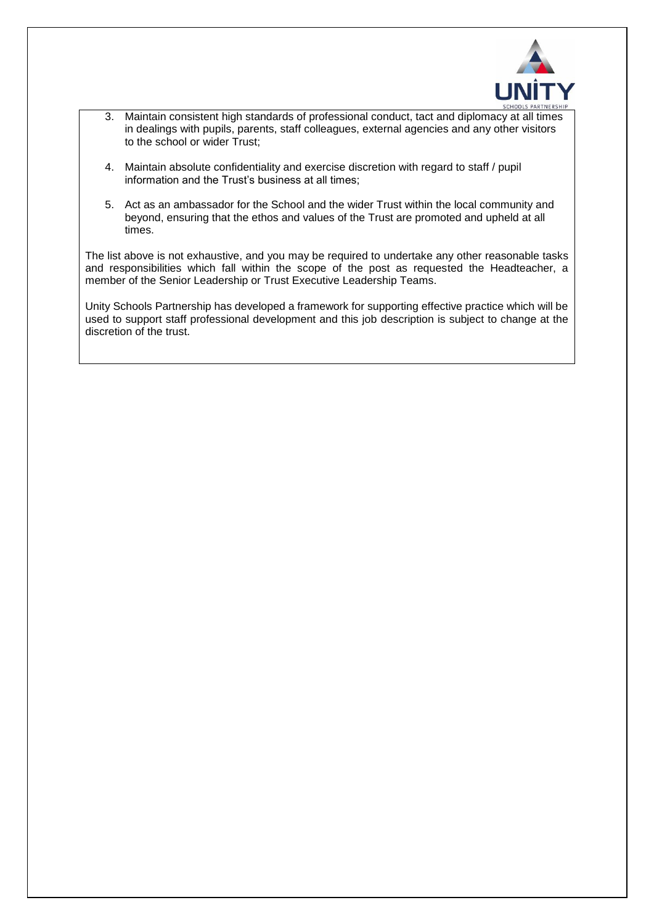

- 3. Maintain consistent high standards of professional conduct, tact and diplomacy at all times in dealings with pupils, parents, staff colleagues, external agencies and any other visitors to the school or wider Trust;
- 4. Maintain absolute confidentiality and exercise discretion with regard to staff / pupil information and the Trust's business at all times;
- 5. Act as an ambassador for the School and the wider Trust within the local community and beyond, ensuring that the ethos and values of the Trust are promoted and upheld at all times.

The list above is not exhaustive, and you may be required to undertake any other reasonable tasks and responsibilities which fall within the scope of the post as requested the Headteacher, a member of the Senior Leadership or Trust Executive Leadership Teams.

Unity Schools Partnership has developed a framework for supporting effective practice which will be used to support staff professional development and this job description is subject to change at the discretion of the trust.